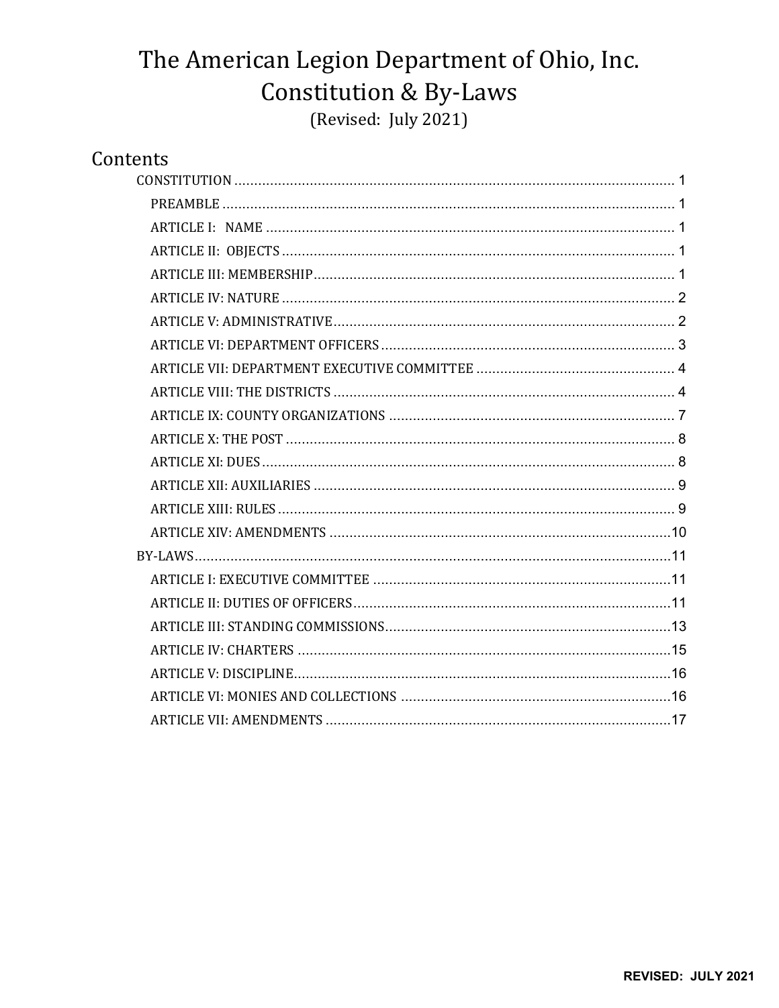# The American Legion Department of Ohio, Inc. **Constitution & By-Laws** (Revised: July 2021)

# Contents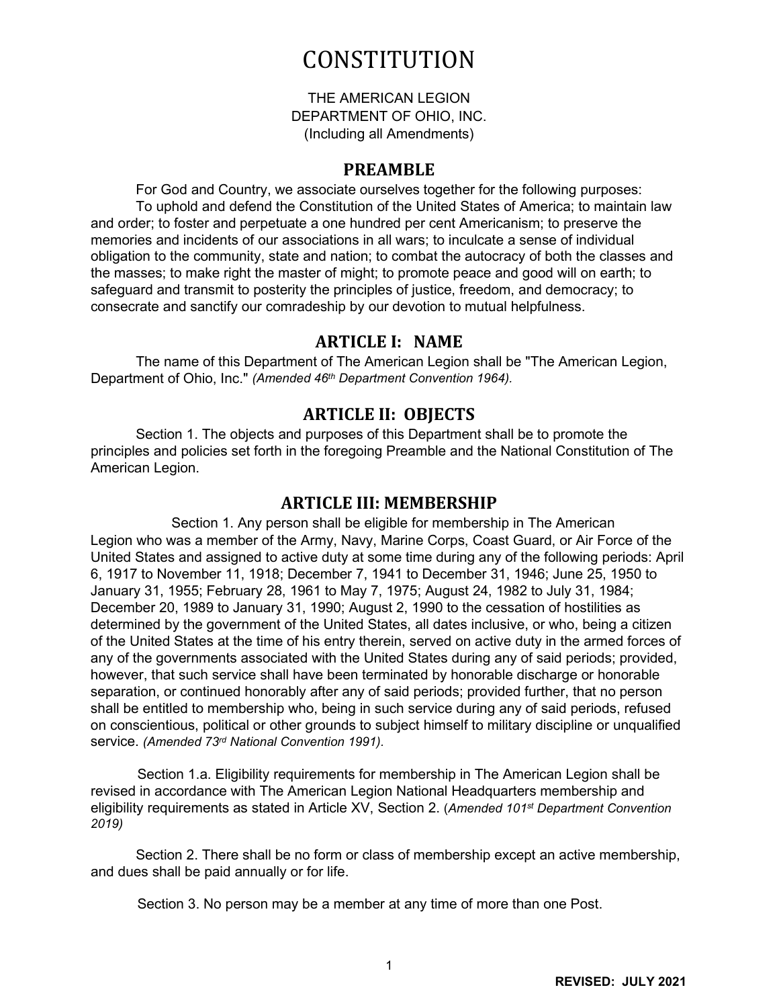# **CONSTITUTION**

THE AMERICAN LEGION DEPARTMENT OF OHIO, INC. (Including all Amendments)

#### **PREAMBLE**

<span id="page-1-1"></span><span id="page-1-0"></span>For God and Country, we associate ourselves together for the following purposes: To uphold and defend the Constitution of the United States of America; to maintain law and order; to foster and perpetuate a one hundred per cent Americanism; to preserve the memories and incidents of our associations in all wars; to inculcate a sense of individual obligation to the community, state and nation; to combat the autocracy of both the classes and the masses; to make right the master of might; to promote peace and good will on earth; to safeguard and transmit to posterity the principles of justice, freedom, and democracy; to consecrate and sanctify our comradeship by our devotion to mutual helpfulness.

#### **ARTICLE I: NAME**

<span id="page-1-2"></span>The name of this Department of The American Legion shall be "The American Legion, Department of Ohio, Inc." *(Amended 46th Department Convention 1964).*

# **ARTICLE II: OBJECTS**

<span id="page-1-3"></span>Section 1. The objects and purposes of this Department shall be to promote the principles and policies set forth in the foregoing Preamble and the National Constitution of The American Legion.

#### **ARTICLE III: MEMBERSHIP**

<span id="page-1-4"></span>Section 1. Any person shall be eligible for membership in The American Legion who was a member of the Army, Navy, Marine Corps, Coast Guard, or Air Force of the United States and assigned to active duty at some time during any of the following periods: April 6, 1917 to November 11, 1918; December 7, 1941 to December 31, 1946; June 25, 1950 to January 31, 1955; February 28, 1961 to May 7, 1975; August 24, 1982 to July 31, 1984; December 20, 1989 to January 31, 1990; August 2, 1990 to the cessation of hostilities as determined by the government of the United States, all dates inclusive, or who, being a citizen of the United States at the time of his entry therein, served on active duty in the armed forces of any of the governments associated with the United States during any of said periods; provided, however, that such service shall have been terminated by honorable discharge or honorable separation, or continued honorably after any of said periods; provided further, that no person shall be entitled to membership who, being in such service during any of said periods, refused on conscientious, political or other grounds to subject himself to military discipline or unqualified service. *(Amended 73rd National Convention 1991).*

Section 1.a. Eligibility requirements for membership in The American Legion shall be revised in accordance with The American Legion National Headquarters membership and eligibility requirements as stated in Article XV, Section 2. (*Amended 101st Department Convention 2019)*

Section 2. There shall be no form or class of membership except an active membership, and dues shall be paid annually or for life.

Section 3. No person may be a member at any time of more than one Post.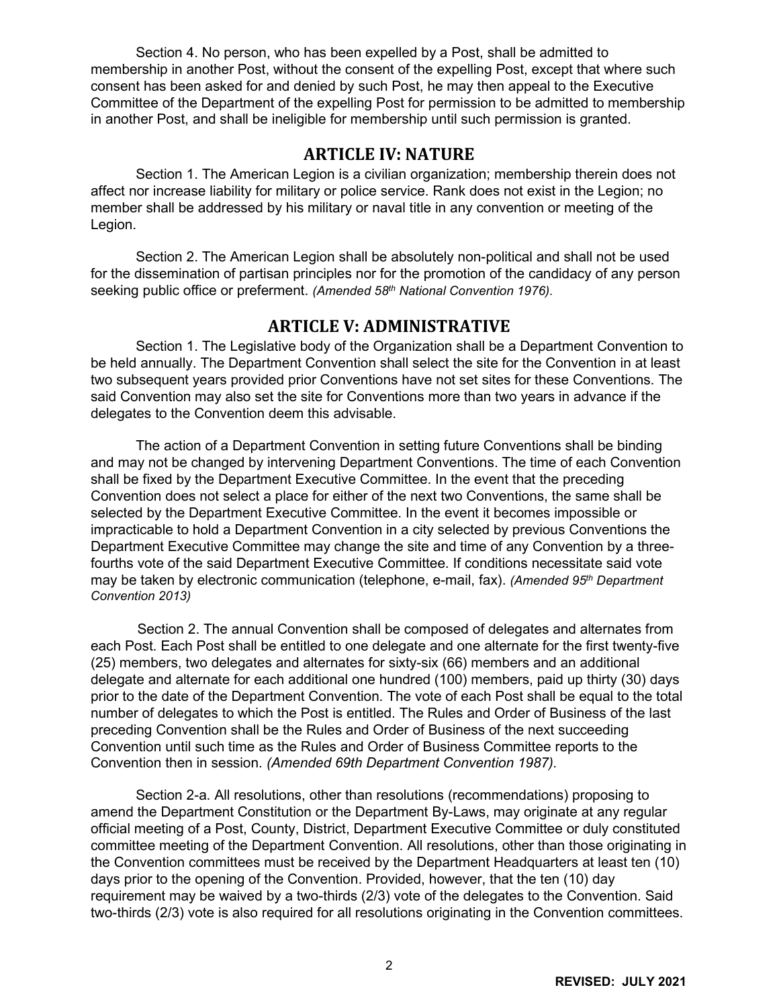Section 4. No person, who has been expelled by a Post, shall be admitted to membership in another Post, without the consent of the expelling Post, except that where such consent has been asked for and denied by such Post, he may then appeal to the Executive Committee of the Department of the expelling Post for permission to be admitted to membership in another Post, and shall be ineligible for membership until such permission is granted.

### **ARTICLE IV: NATURE**

<span id="page-2-0"></span>Section 1. The American Legion is a civilian organization; membership therein does not affect nor increase liability for military or police service. Rank does not exist in the Legion; no member shall be addressed by his military or naval title in any convention or meeting of the Legion.

Section 2. The American Legion shall be absolutely non-political and shall not be used for the dissemination of partisan principles nor for the promotion of the candidacy of any person seeking public office or preferment. *(Amended 58th National Convention 1976).* 

#### **ARTICLE V: ADMINISTRATIVE**

<span id="page-2-1"></span>Section 1. The Legislative body of the Organization shall be a Department Convention to be held annually. The Department Convention shall select the site for the Convention in at least two subsequent years provided prior Conventions have not set sites for these Conventions. The said Convention may also set the site for Conventions more than two years in advance if the delegates to the Convention deem this advisable.

The action of a Department Convention in setting future Conventions shall be binding and may not be changed by intervening Department Conventions. The time of each Convention shall be fixed by the Department Executive Committee. In the event that the preceding Convention does not select a place for either of the next two Conventions, the same shall be selected by the Department Executive Committee. In the event it becomes impossible or impracticable to hold a Department Convention in a city selected by previous Conventions the Department Executive Committee may change the site and time of any Convention by a threefourths vote of the said Department Executive Committee. If conditions necessitate said vote may be taken by electronic communication (telephone, e-mail, fax). *(Amended 95th Department Convention 2013)*

Section 2. The annual Convention shall be composed of delegates and alternates from each Post. Each Post shall be entitled to one delegate and one alternate for the first twenty-five (25) members, two delegates and alternates for sixty-six (66) members and an additional delegate and alternate for each additional one hundred (100) members, paid up thirty (30) days prior to the date of the Department Convention. The vote of each Post shall be equal to the total number of delegates to which the Post is entitled. The Rules and Order of Business of the last preceding Convention shall be the Rules and Order of Business of the next succeeding Convention until such time as the Rules and Order of Business Committee reports to the Convention then in session. *(Amended 69th Department Convention 1987).*

Section 2-a. All resolutions, other than resolutions (recommendations) proposing to amend the Department Constitution or the Department By-Laws, may originate at any regular official meeting of a Post, County, District, Department Executive Committee or duly constituted committee meeting of the Department Convention. All resolutions, other than those originating in the Convention committees must be received by the Department Headquarters at least ten (10) days prior to the opening of the Convention. Provided, however, that the ten (10) day requirement may be waived by a two-thirds (2/3) vote of the delegates to the Convention. Said two-thirds (2/3) vote is also required for all resolutions originating in the Convention committees.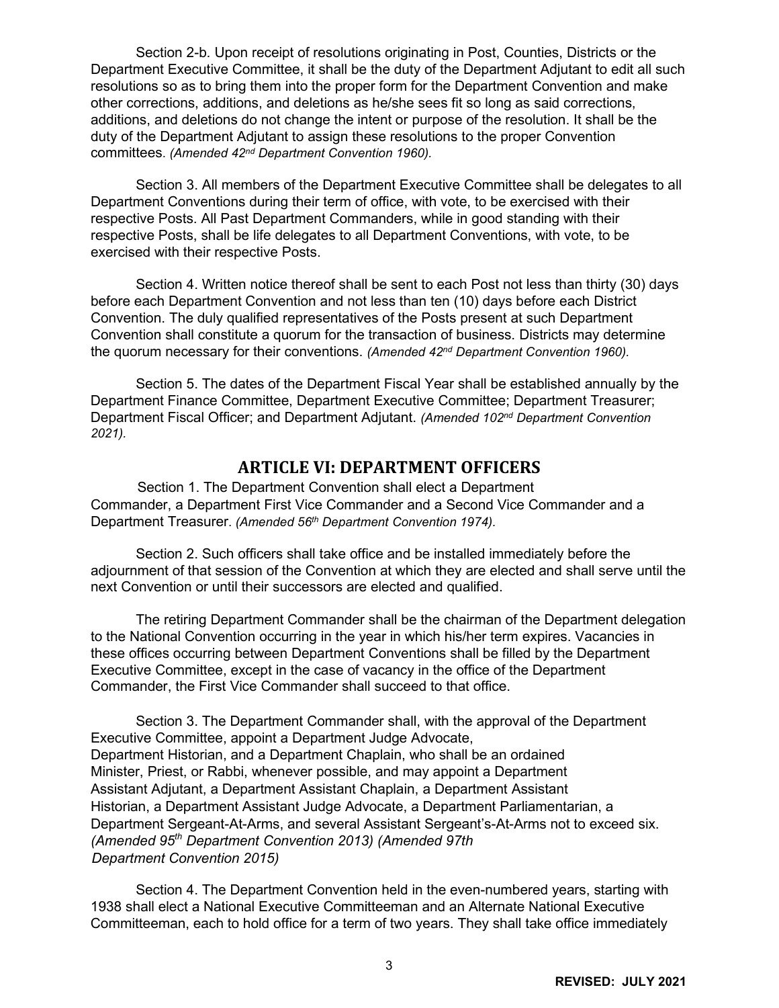Section 2-b. Upon receipt of resolutions originating in Post, Counties, Districts or the Department Executive Committee, it shall be the duty of the Department Adjutant to edit all such resolutions so as to bring them into the proper form for the Department Convention and make other corrections, additions, and deletions as he/she sees fit so long as said corrections, additions, and deletions do not change the intent or purpose of the resolution. It shall be the duty of the Department Adjutant to assign these resolutions to the proper Convention committees. *(Amended 42nd Department Convention 1960).*

Section 3. All members of the Department Executive Committee shall be delegates to all Department Conventions during their term of office, with vote, to be exercised with their respective Posts. All Past Department Commanders, while in good standing with their respective Posts, shall be life delegates to all Department Conventions, with vote, to be exercised with their respective Posts.

Section 4. Written notice thereof shall be sent to each Post not less than thirty (30) days before each Department Convention and not less than ten (10) days before each District Convention. The duly qualified representatives of the Posts present at such Department Convention shall constitute a quorum for the transaction of business. Districts may determine the quorum necessary for their conventions. *(Amended 42nd Department Convention 1960).*

Section 5. The dates of the Department Fiscal Year shall be established annually by the Department Finance Committee, Department Executive Committee; Department Treasurer; Department Fiscal Officer; and Department Adjutant. *(Amended 102nd Department Convention 2021).*

#### **ARTICLE VI: DEPARTMENT OFFICERS**

<span id="page-3-0"></span>Section 1. The Department Convention shall elect a Department Commander, a Department First Vice Commander and a Second Vice Commander and a Department Treasurer. *(Amended 56th Department Convention 1974).*

Section 2. Such officers shall take office and be installed immediately before the adjournment of that session of the Convention at which they are elected and shall serve until the next Convention or until their successors are elected and qualified.

The retiring Department Commander shall be the chairman of the Department delegation to the National Convention occurring in the year in which his/her term expires. Vacancies in these offices occurring between Department Conventions shall be filled by the Department Executive Committee, except in the case of vacancy in the office of the Department Commander, the First Vice Commander shall succeed to that office.

Section 3. The Department Commander shall, with the approval of the Department Executive Committee, appoint a Department Judge Advocate, Department Historian, and a Department Chaplain, who shall be an ordained Minister, Priest, or Rabbi, whenever possible, and may appoint a Department Assistant Adjutant, a Department Assistant Chaplain, a Department Assistant Historian, a Department Assistant Judge Advocate, a Department Parliamentarian, a Department Sergeant-At-Arms, and several Assistant Sergeant's-At-Arms not to exceed six. *(Amended 95th Department Convention 2013) (Amended 97th Department Convention 2015)*

Section 4. The Department Convention held in the even-numbered years, starting with 1938 shall elect a National Executive Committeeman and an Alternate National Executive Committeeman, each to hold office for a term of two years. They shall take office immediately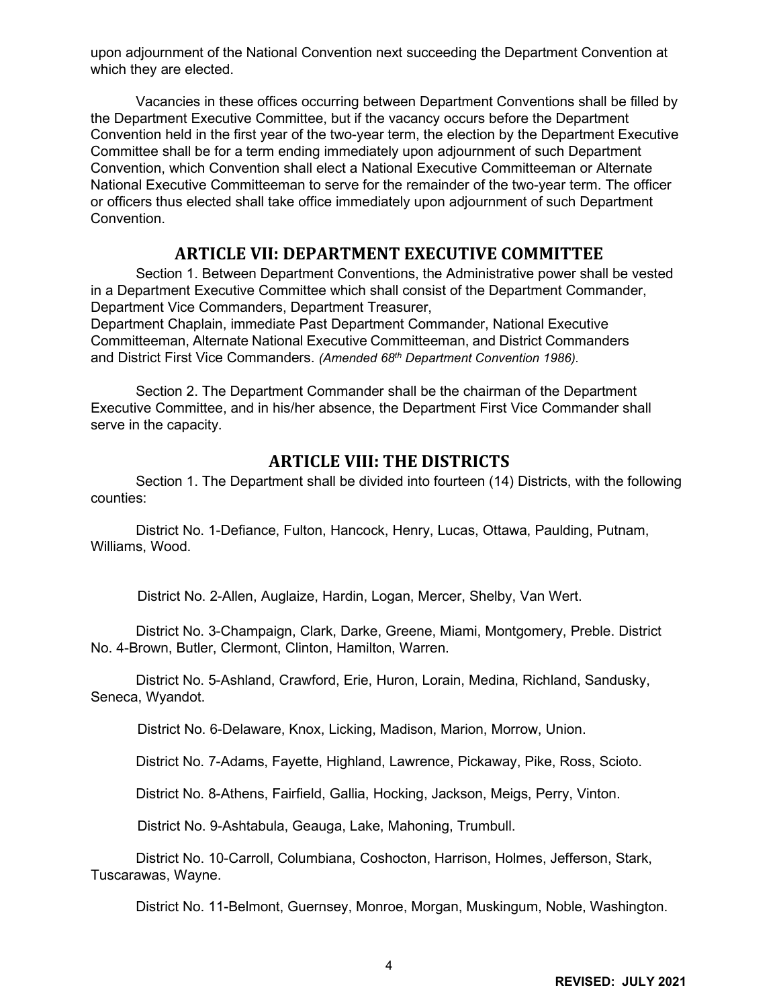upon adjournment of the National Convention next succeeding the Department Convention at which they are elected.

Vacancies in these offices occurring between Department Conventions shall be filled by the Department Executive Committee, but if the vacancy occurs before the Department Convention held in the first year of the two-year term, the election by the Department Executive Committee shall be for a term ending immediately upon adjournment of such Department Convention, which Convention shall elect a National Executive Committeeman or Alternate National Executive Committeeman to serve for the remainder of the two-year term. The officer or officers thus elected shall take office immediately upon adjournment of such Department Convention.

#### **ARTICLE VII: DEPARTMENT EXECUTIVE COMMITTEE**

<span id="page-4-0"></span>Section 1. Between Department Conventions, the Administrative power shall be vested in a Department Executive Committee which shall consist of the Department Commander, Department Vice Commanders, Department Treasurer,

Department Chaplain, immediate Past Department Commander, National Executive Committeeman, Alternate National Executive Committeeman, and District Commanders and District First Vice Commanders. *(Amended 68th Department Convention 1986).*

Section 2. The Department Commander shall be the chairman of the Department Executive Committee, and in his/her absence, the Department First Vice Commander shall serve in the capacity.

# **ARTICLE VIII: THE DISTRICTS**

<span id="page-4-1"></span>Section 1. The Department shall be divided into fourteen (14) Districts, with the following counties:

District No. 1-Defiance, Fulton, Hancock, Henry, Lucas, Ottawa, Paulding, Putnam, Williams, Wood.

District No. 2-Allen, Auglaize, Hardin, Logan, Mercer, Shelby, Van Wert.

District No. 3-Champaign, Clark, Darke, Greene, Miami, Montgomery, Preble. District No. 4-Brown, Butler, Clermont, Clinton, Hamilton, Warren.

District No. 5-Ashland, Crawford, Erie, Huron, Lorain, Medina, Richland, Sandusky, Seneca, Wyandot.

District No. 6-Delaware, Knox, Licking, Madison, Marion, Morrow, Union.

District No. 7-Adams, Fayette, Highland, Lawrence, Pickaway, Pike, Ross, Scioto.

District No. 8-Athens, Fairfield, Gallia, Hocking, Jackson, Meigs, Perry, Vinton.

District No. 9-Ashtabula, Geauga, Lake, Mahoning, Trumbull.

District No. 10-Carroll, Columbiana, Coshocton, Harrison, Holmes, Jefferson, Stark, Tuscarawas, Wayne.

District No. 11-Belmont, Guernsey, Monroe, Morgan, Muskingum, Noble, Washington.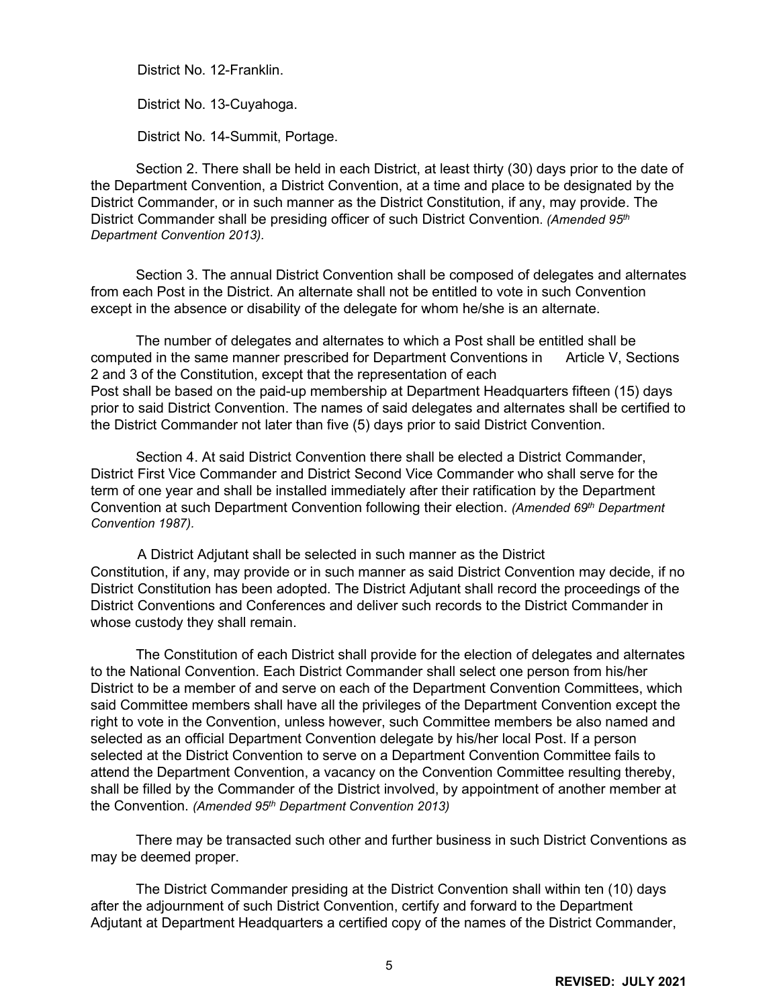District No. 12-Franklin.

District No. 13-Cuyahoga.

District No. 14-Summit, Portage.

Section 2. There shall be held in each District, at least thirty (30) days prior to the date of the Department Convention, a District Convention, at a time and place to be designated by the District Commander, or in such manner as the District Constitution, if any, may provide. The District Commander shall be presiding officer of such District Convention. *(Amended 95th Department Convention 2013).*

Section 3. The annual District Convention shall be composed of delegates and alternates from each Post in the District. An alternate shall not be entitled to vote in such Convention except in the absence or disability of the delegate for whom he/she is an alternate.

The number of delegates and alternates to which a Post shall be entitled shall be computed in the same manner prescribed for Department Conventions in Article V, Sections 2 and 3 of the Constitution, except that the representation of each Post shall be based on the paid-up membership at Department Headquarters fifteen (15) days prior to said District Convention. The names of said delegates and alternates shall be certified to the District Commander not later than five (5) days prior to said District Convention.

Section 4. At said District Convention there shall be elected a District Commander, District First Vice Commander and District Second Vice Commander who shall serve for the term of one year and shall be installed immediately after their ratification by the Department Convention at such Department Convention following their election. *(Amended 69th Department Convention 1987).*

A District Adjutant shall be selected in such manner as the District Constitution, if any, may provide or in such manner as said District Convention may decide, if no District Constitution has been adopted. The District Adjutant shall record the proceedings of the District Conventions and Conferences and deliver such records to the District Commander in whose custody they shall remain.

The Constitution of each District shall provide for the election of delegates and alternates to the National Convention. Each District Commander shall select one person from his/her District to be a member of and serve on each of the Department Convention Committees, which said Committee members shall have all the privileges of the Department Convention except the right to vote in the Convention, unless however, such Committee members be also named and selected as an official Department Convention delegate by his/her local Post. If a person selected at the District Convention to serve on a Department Convention Committee fails to attend the Department Convention, a vacancy on the Convention Committee resulting thereby, shall be filled by the Commander of the District involved, by appointment of another member at the Convention. *(Amended 95th Department Convention 2013)* 

There may be transacted such other and further business in such District Conventions as may be deemed proper.

The District Commander presiding at the District Convention shall within ten (10) days after the adjournment of such District Convention, certify and forward to the Department Adjutant at Department Headquarters a certified copy of the names of the District Commander,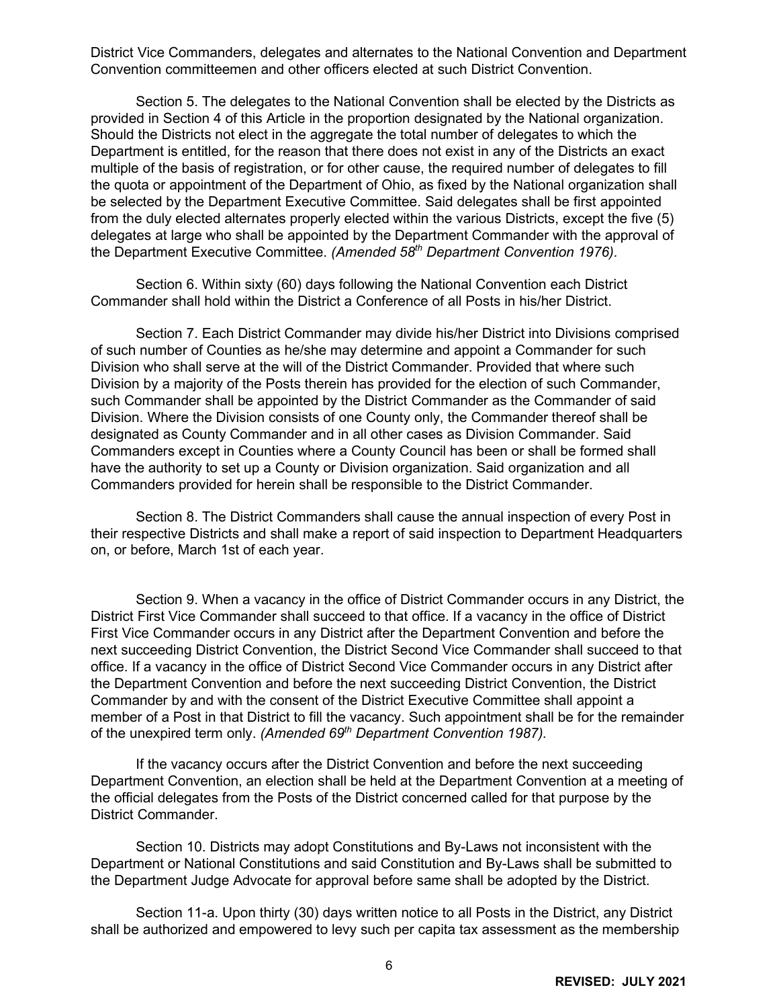District Vice Commanders, delegates and alternates to the National Convention and Department Convention committeemen and other officers elected at such District Convention.

Section 5. The delegates to the National Convention shall be elected by the Districts as provided in Section 4 of this Article in the proportion designated by the National organization. Should the Districts not elect in the aggregate the total number of delegates to which the Department is entitled, for the reason that there does not exist in any of the Districts an exact multiple of the basis of registration, or for other cause, the required number of delegates to fill the quota or appointment of the Department of Ohio, as fixed by the National organization shall be selected by the Department Executive Committee. Said delegates shall be first appointed from the duly elected alternates properly elected within the various Districts, except the five (5) delegates at large who shall be appointed by the Department Commander with the approval of the Department Executive Committee. *(Amended 58th Department Convention 1976).*

Section 6. Within sixty (60) days following the National Convention each District Commander shall hold within the District a Conference of all Posts in his/her District.

Section 7. Each District Commander may divide his/her District into Divisions comprised of such number of Counties as he/she may determine and appoint a Commander for such Division who shall serve at the will of the District Commander. Provided that where such Division by a majority of the Posts therein has provided for the election of such Commander, such Commander shall be appointed by the District Commander as the Commander of said Division. Where the Division consists of one County only, the Commander thereof shall be designated as County Commander and in all other cases as Division Commander. Said Commanders except in Counties where a County Council has been or shall be formed shall have the authority to set up a County or Division organization. Said organization and all Commanders provided for herein shall be responsible to the District Commander.

Section 8. The District Commanders shall cause the annual inspection of every Post in their respective Districts and shall make a report of said inspection to Department Headquarters on, or before, March 1st of each year.

Section 9. When a vacancy in the office of District Commander occurs in any District, the District First Vice Commander shall succeed to that office. If a vacancy in the office of District First Vice Commander occurs in any District after the Department Convention and before the next succeeding District Convention, the District Second Vice Commander shall succeed to that office. If a vacancy in the office of District Second Vice Commander occurs in any District after the Department Convention and before the next succeeding District Convention, the District Commander by and with the consent of the District Executive Committee shall appoint a member of a Post in that District to fill the vacancy. Such appointment shall be for the remainder of the unexpired term only. *(Amended 69th Department Convention 1987).*

If the vacancy occurs after the District Convention and before the next succeeding Department Convention, an election shall be held at the Department Convention at a meeting of the official delegates from the Posts of the District concerned called for that purpose by the District Commander.

Section 10. Districts may adopt Constitutions and By-Laws not inconsistent with the Department or National Constitutions and said Constitution and By-Laws shall be submitted to the Department Judge Advocate for approval before same shall be adopted by the District.

Section 11-a. Upon thirty (30) days written notice to all Posts in the District, any District shall be authorized and empowered to levy such per capita tax assessment as the membership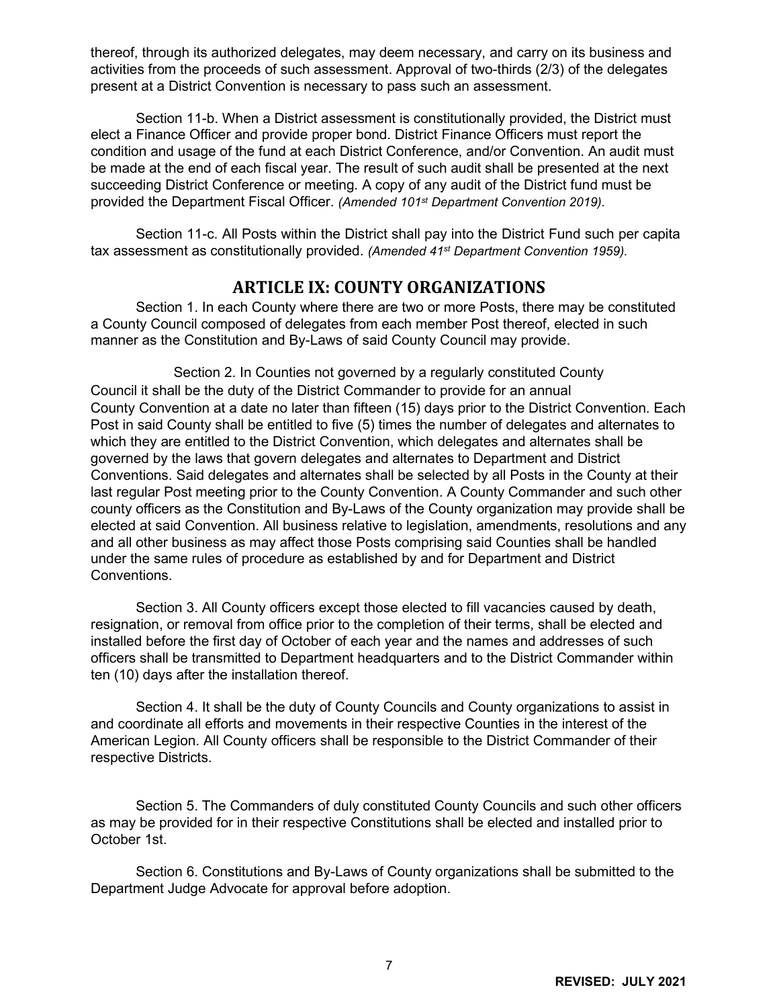thereof, through its authorized delegates, may deem necessary, and carry on its business and activities from the proceeds of such assessment. Approval of two-thirds (2/3) of the delegates present at a District Convention is necessary to pass such an assessment.

Section 11-b. When a District assessment is constitutionally provided, the District must elect a Finance Officer and provide proper bond. District Finance Officers must report the condition and usage of the fund at each District Conference, and/or Convention. An audit must be made at the end of each fiscal year. The result of such audit shall be presented at the next succeeding District Conference or meeting. A copy of any audit of the District fund must be provided the Department Fiscal Officer. *(Amended 101st Department Convention 2019).*

Section 11-c. All Posts within the District shall pay into the District Fund such per capita tax assessment as constitutionally provided. *(Amended 41st Department Convention 1959).* 

### **ARTICLE IX: COUNTY ORGANIZATIONS**

<span id="page-7-0"></span>Section 1. In each County where there are two or more Posts, there may be constituted a County Council composed of delegates from each member Post thereof, elected in such manner as the Constitution and By-Laws of said County Council may provide.

Section 2. In Counties not governed by a regularly constituted County Council it shall be the duty of the District Commander to provide for an annual County Convention at a date no later than fifteen (15) days prior to the District Convention. Each Post in said County shall be entitled to five (5) times the number of delegates and alternates to which they are entitled to the District Convention, which delegates and alternates shall be governed by the laws that govern delegates and alternates to Department and District Conventions. Said delegates and alternates shall be selected by all Posts in the County at their last regular Post meeting prior to the County Convention. A County Commander and such other county officers as the Constitution and By-Laws of the County organization may provide shall be elected at said Convention. All business relative to legislation, amendments, resolutions and any and all other business as may affect those Posts comprising said Counties shall be handled under the same rules of procedure as established by and for Department and District Conventions.

Section 3. All County officers except those elected to fill vacancies caused by death, resignation, or removal from office prior to the completion of their terms, shall be elected and installed before the first day of October of each year and the names and addresses of such officers shall be transmitted to Department headquarters and to the District Commander within ten (10) days after the installation thereof.

Section 4. It shall be the duty of County Councils and County organizations to assist in and coordinate all efforts and movements in their respective Counties in the interest of the American Legion. All County officers shall be responsible to the District Commander of their respective Districts.

Section 5. The Commanders of duly constituted County Councils and such other officers as may be provided for in their respective Constitutions shall be elected and installed prior to October 1st.

Section 6. Constitutions and By-Laws of County organizations shall be submitted to the Department Judge Advocate for approval before adoption.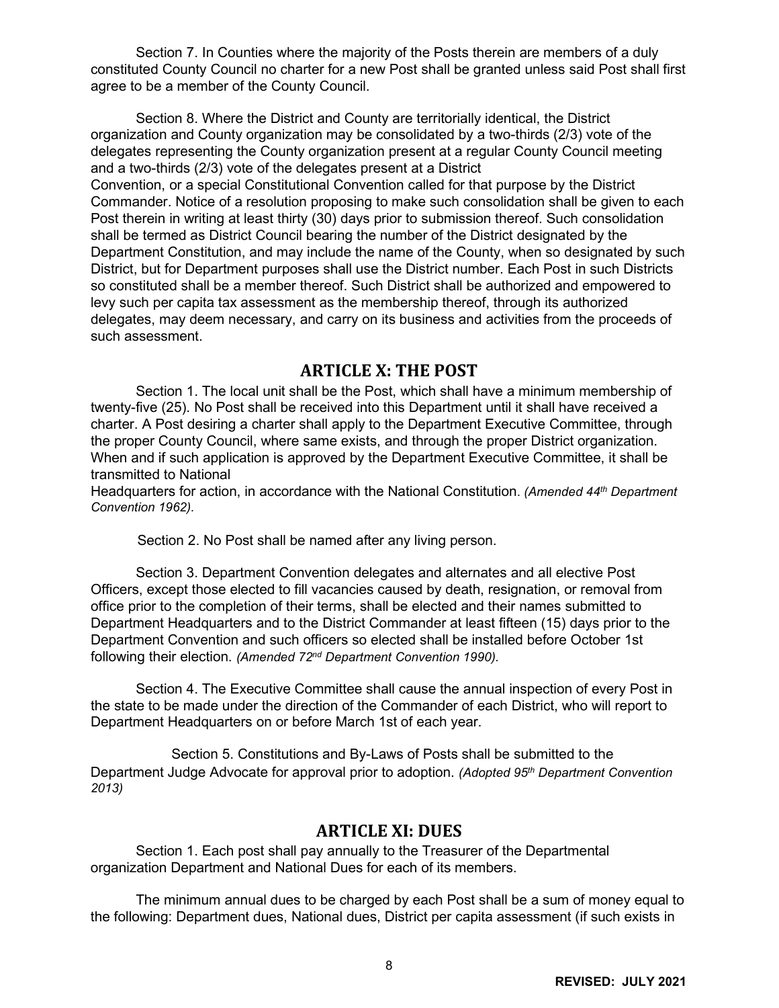Section 7. In Counties where the majority of the Posts therein are members of a duly constituted County Council no charter for a new Post shall be granted unless said Post shall first agree to be a member of the County Council.

Section 8. Where the District and County are territorially identical, the District organization and County organization may be consolidated by a two-thirds (2/3) vote of the delegates representing the County organization present at a regular County Council meeting and a two-thirds (2/3) vote of the delegates present at a District Convention, or a special Constitutional Convention called for that purpose by the District Commander. Notice of a resolution proposing to make such consolidation shall be given to each Post therein in writing at least thirty (30) days prior to submission thereof. Such consolidation shall be termed as District Council bearing the number of the District designated by the Department Constitution, and may include the name of the County, when so designated by such District, but for Department purposes shall use the District number. Each Post in such Districts so constituted shall be a member thereof. Such District shall be authorized and empowered to levy such per capita tax assessment as the membership thereof, through its authorized delegates, may deem necessary, and carry on its business and activities from the proceeds of such assessment.

#### **ARTICLE X: THE POST**

<span id="page-8-0"></span>Section 1. The local unit shall be the Post, which shall have a minimum membership of twenty-five (25). No Post shall be received into this Department until it shall have received a charter. A Post desiring a charter shall apply to the Department Executive Committee, through the proper County Council, where same exists, and through the proper District organization. When and if such application is approved by the Department Executive Committee, it shall be transmitted to National

Headquarters for action, in accordance with the National Constitution. *(Amended 44th Department Convention 1962).*

Section 2. No Post shall be named after any living person.

Section 3. Department Convention delegates and alternates and all elective Post Officers, except those elected to fill vacancies caused by death, resignation, or removal from office prior to the completion of their terms, shall be elected and their names submitted to Department Headquarters and to the District Commander at least fifteen (15) days prior to the Department Convention and such officers so elected shall be installed before October 1st following their election. *(Amended 72nd Department Convention 1990).*

Section 4. The Executive Committee shall cause the annual inspection of every Post in the state to be made under the direction of the Commander of each District, who will report to Department Headquarters on or before March 1st of each year.

Section 5. Constitutions and By-Laws of Posts shall be submitted to the Department Judge Advocate for approval prior to adoption. *(Adopted 95th Department Convention 2013)*

#### **ARTICLE XI: DUES**

<span id="page-8-1"></span>Section 1. Each post shall pay annually to the Treasurer of the Departmental organization Department and National Dues for each of its members.

The minimum annual dues to be charged by each Post shall be a sum of money equal to the following: Department dues, National dues, District per capita assessment (if such exists in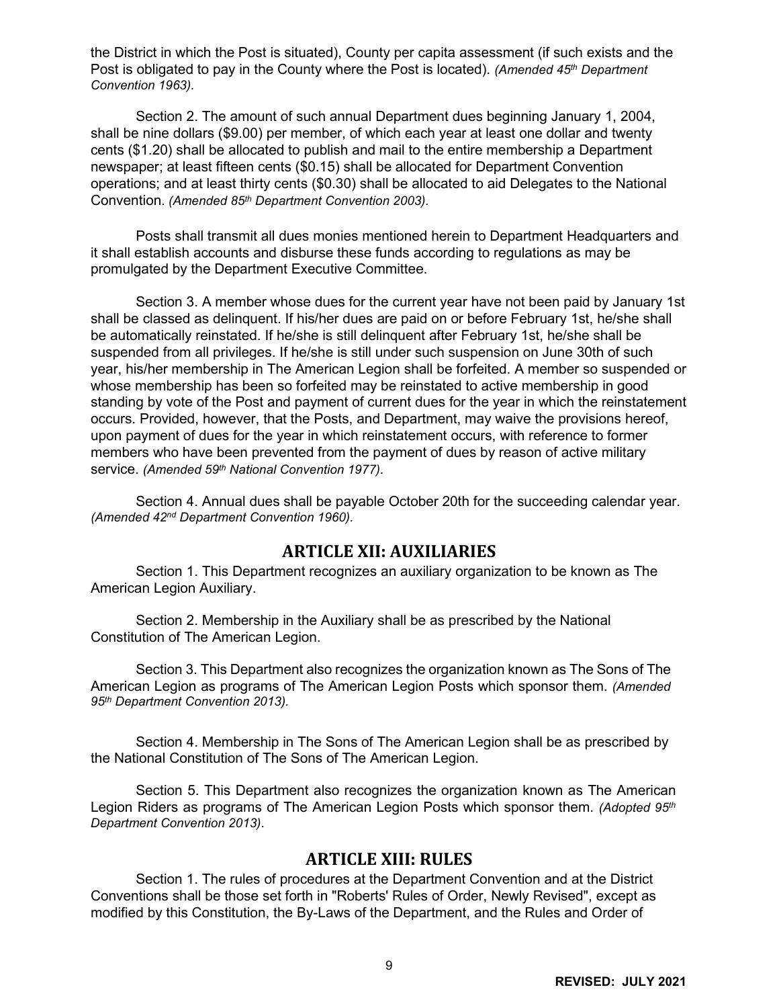the District in which the Post is situated), County per capita assessment (if such exists and the Post is obligated to pay in the County where the Post is located). *(Amended 45th Department Convention 1963).*

Section 2. The amount of such annual Department dues beginning January 1, 2004, shall be nine dollars (\$9.00) per member, of which each year at least one dollar and twenty cents (\$1.20) shall be allocated to publish and mail to the entire membership a Department newspaper; at least fifteen cents (\$0.15) shall be allocated for Department Convention operations; and at least thirty cents (\$0.30) shall be allocated to aid Delegates to the National Convention. *(Amended 85th Department Convention 2003).* 

Posts shall transmit all dues monies mentioned herein to Department Headquarters and it shall establish accounts and disburse these funds according to regulations as may be promulgated by the Department Executive Committee.

Section 3. A member whose dues for the current year have not been paid by January 1st shall be classed as delinquent. If his/her dues are paid on or before February 1st, he/she shall be automatically reinstated. If he/she is still delinquent after February 1st, he/she shall be suspended from all privileges. If he/she is still under such suspension on June 30th of such year, his/her membership in The American Legion shall be forfeited. A member so suspended or whose membership has been so forfeited may be reinstated to active membership in good standing by vote of the Post and payment of current dues for the year in which the reinstatement occurs. Provided, however, that the Posts, and Department, may waive the provisions hereof, upon payment of dues for the year in which reinstatement occurs, with reference to former members who have been prevented from the payment of dues by reason of active military service. *(Amended 59th National Convention 1977).*

Section 4. Annual dues shall be payable October 20th for the succeeding calendar year. *(Amended 42nd Department Convention 1960).*

#### **ARTICLE XII: AUXILIARIES**

<span id="page-9-0"></span>Section 1. This Department recognizes an auxiliary organization to be known as The American Legion Auxiliary.

Section 2. Membership in the Auxiliary shall be as prescribed by the National Constitution of The American Legion.

Section 3. This Department also recognizes the organization known as The Sons of The American Legion as programs of The American Legion Posts which sponsor them. *(Amended 95th Department Convention 2013).*

Section 4. Membership in The Sons of The American Legion shall be as prescribed by the National Constitution of The Sons of The American Legion.

Section 5. This Department also recognizes the organization known as The American Legion Riders as programs of The American Legion Posts which sponsor them. *(Adopted 95th Department Convention 2013)*.

#### **ARTICLE XIII: RULES**

<span id="page-9-1"></span>Section 1. The rules of procedures at the Department Convention and at the District Conventions shall be those set forth in "Roberts' Rules of Order, Newly Revised", except as modified by this Constitution, the By-Laws of the Department, and the Rules and Order of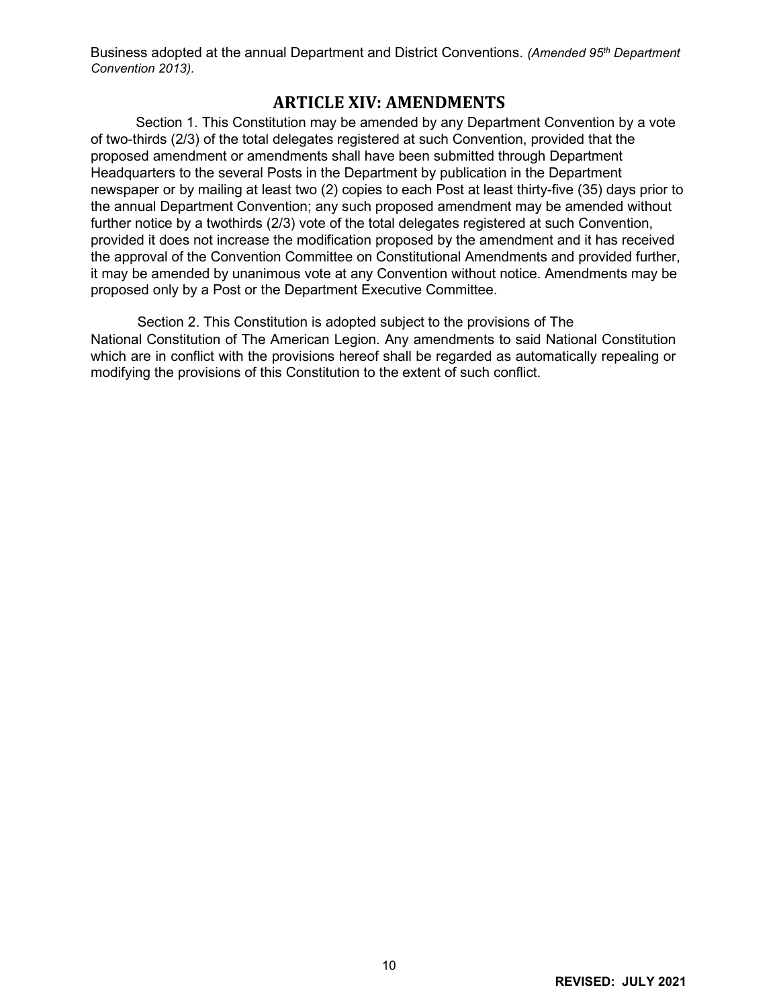Business adopted at the annual Department and District Conventions. *(Amended 95th Department Convention 2013).*

#### **ARTICLE XIV: AMENDMENTS**

<span id="page-10-0"></span>Section 1. This Constitution may be amended by any Department Convention by a vote of two-thirds (2/3) of the total delegates registered at such Convention, provided that the proposed amendment or amendments shall have been submitted through Department Headquarters to the several Posts in the Department by publication in the Department newspaper or by mailing at least two (2) copies to each Post at least thirty-five (35) days prior to the annual Department Convention; any such proposed amendment may be amended without further notice by a twothirds (2/3) vote of the total delegates registered at such Convention, provided it does not increase the modification proposed by the amendment and it has received the approval of the Convention Committee on Constitutional Amendments and provided further, it may be amended by unanimous vote at any Convention without notice. Amendments may be proposed only by a Post or the Department Executive Committee.

Section 2. This Constitution is adopted subject to the provisions of The National Constitution of The American Legion. Any amendments to said National Constitution which are in conflict with the provisions hereof shall be regarded as automatically repealing or modifying the provisions of this Constitution to the extent of such conflict.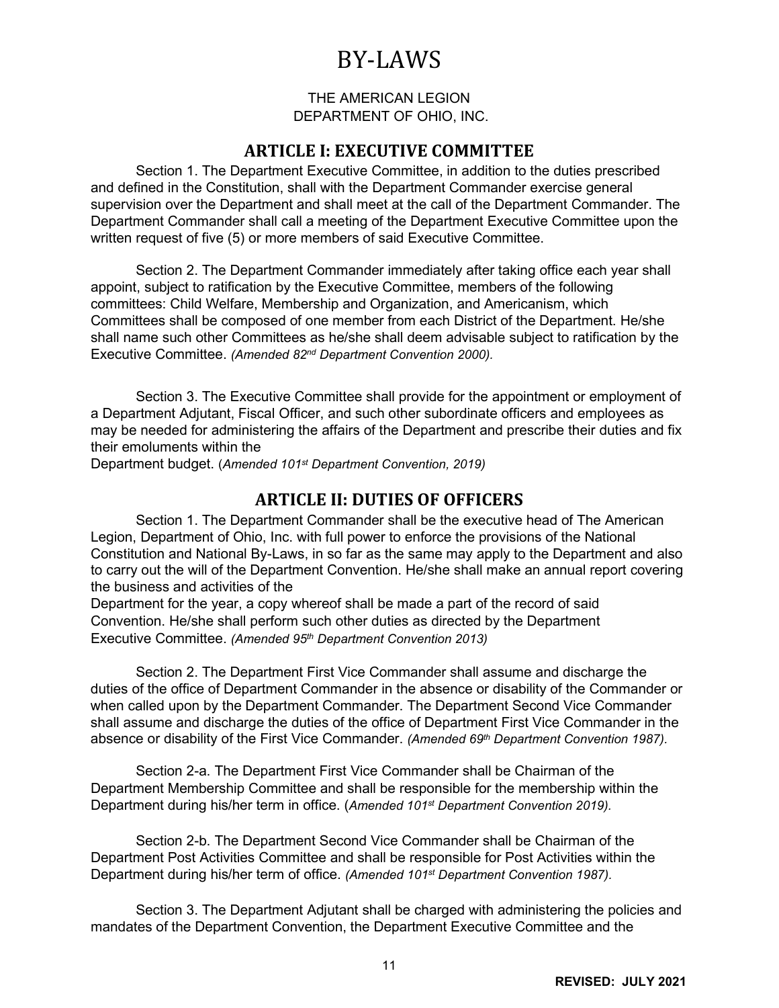# BY-LAWS

#### THE AMERICAN LEGION DEPARTMENT OF OHIO, INC.

#### **ARTICLE I: EXECUTIVE COMMITTEE**

<span id="page-11-1"></span><span id="page-11-0"></span>Section 1. The Department Executive Committee, in addition to the duties prescribed and defined in the Constitution, shall with the Department Commander exercise general supervision over the Department and shall meet at the call of the Department Commander. The Department Commander shall call a meeting of the Department Executive Committee upon the written request of five (5) or more members of said Executive Committee.

Section 2. The Department Commander immediately after taking office each year shall appoint, subject to ratification by the Executive Committee, members of the following committees: Child Welfare, Membership and Organization, and Americanism, which Committees shall be composed of one member from each District of the Department. He/she shall name such other Committees as he/she shall deem advisable subject to ratification by the Executive Committee. *(Amended 82nd Department Convention 2000).*

Section 3. The Executive Committee shall provide for the appointment or employment of a Department Adjutant, Fiscal Officer, and such other subordinate officers and employees as may be needed for administering the affairs of the Department and prescribe their duties and fix their emoluments within the

Department budget. (*Amended 101st Department Convention, 2019)*

#### **ARTICLE II: DUTIES OF OFFICERS**

<span id="page-11-2"></span>Section 1. The Department Commander shall be the executive head of The American Legion, Department of Ohio, Inc. with full power to enforce the provisions of the National Constitution and National By-Laws, in so far as the same may apply to the Department and also to carry out the will of the Department Convention. He/she shall make an annual report covering the business and activities of the

Department for the year, a copy whereof shall be made a part of the record of said Convention. He/she shall perform such other duties as directed by the Department Executive Committee. *(Amended 95th Department Convention 2013)*

Section 2. The Department First Vice Commander shall assume and discharge the duties of the office of Department Commander in the absence or disability of the Commander or when called upon by the Department Commander. The Department Second Vice Commander shall assume and discharge the duties of the office of Department First Vice Commander in the absence or disability of the First Vice Commander. *(Amended 69th Department Convention 1987).*

Section 2-a. The Department First Vice Commander shall be Chairman of the Department Membership Committee and shall be responsible for the membership within the Department during his/her term in office. (*Amended 101st Department Convention 2019).* 

Section 2-b. The Department Second Vice Commander shall be Chairman of the Department Post Activities Committee and shall be responsible for Post Activities within the Department during his/her term of office. *(Amended 101st Department Convention 1987).*

Section 3. The Department Adjutant shall be charged with administering the policies and mandates of the Department Convention, the Department Executive Committee and the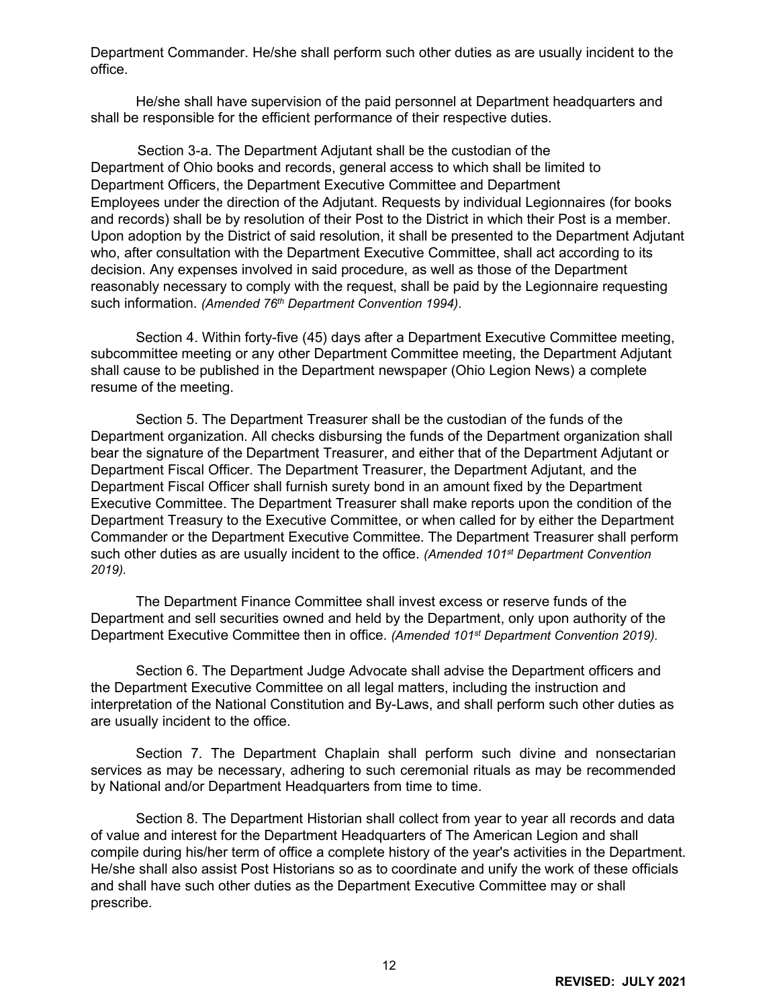Department Commander. He/she shall perform such other duties as are usually incident to the office.

He/she shall have supervision of the paid personnel at Department headquarters and shall be responsible for the efficient performance of their respective duties.

Section 3-a. The Department Adjutant shall be the custodian of the Department of Ohio books and records, general access to which shall be limited to Department Officers, the Department Executive Committee and Department Employees under the direction of the Adjutant. Requests by individual Legionnaires (for books and records) shall be by resolution of their Post to the District in which their Post is a member. Upon adoption by the District of said resolution, it shall be presented to the Department Adjutant who, after consultation with the Department Executive Committee, shall act according to its decision. Any expenses involved in said procedure, as well as those of the Department reasonably necessary to comply with the request, shall be paid by the Legionnaire requesting such information. *(Amended 76th Department Convention 1994)*.

Section 4. Within forty-five (45) days after a Department Executive Committee meeting, subcommittee meeting or any other Department Committee meeting, the Department Adjutant shall cause to be published in the Department newspaper (Ohio Legion News) a complete resume of the meeting.

Section 5. The Department Treasurer shall be the custodian of the funds of the Department organization. All checks disbursing the funds of the Department organization shall bear the signature of the Department Treasurer, and either that of the Department Adjutant or Department Fiscal Officer. The Department Treasurer, the Department Adjutant, and the Department Fiscal Officer shall furnish surety bond in an amount fixed by the Department Executive Committee. The Department Treasurer shall make reports upon the condition of the Department Treasury to the Executive Committee, or when called for by either the Department Commander or the Department Executive Committee. The Department Treasurer shall perform such other duties as are usually incident to the office. *(Amended 101st Department Convention 2019).*

The Department Finance Committee shall invest excess or reserve funds of the Department and sell securities owned and held by the Department, only upon authority of the Department Executive Committee then in office. *(Amended 101st Department Convention 2019).*

Section 6. The Department Judge Advocate shall advise the Department officers and the Department Executive Committee on all legal matters, including the instruction and interpretation of the National Constitution and By-Laws, and shall perform such other duties as are usually incident to the office.

Section 7. The Department Chaplain shall perform such divine and nonsectarian services as may be necessary, adhering to such ceremonial rituals as may be recommended by National and/or Department Headquarters from time to time.

Section 8. The Department Historian shall collect from year to year all records and data of value and interest for the Department Headquarters of The American Legion and shall compile during his/her term of office a complete history of the year's activities in the Department. He/she shall also assist Post Historians so as to coordinate and unify the work of these officials and shall have such other duties as the Department Executive Committee may or shall prescribe.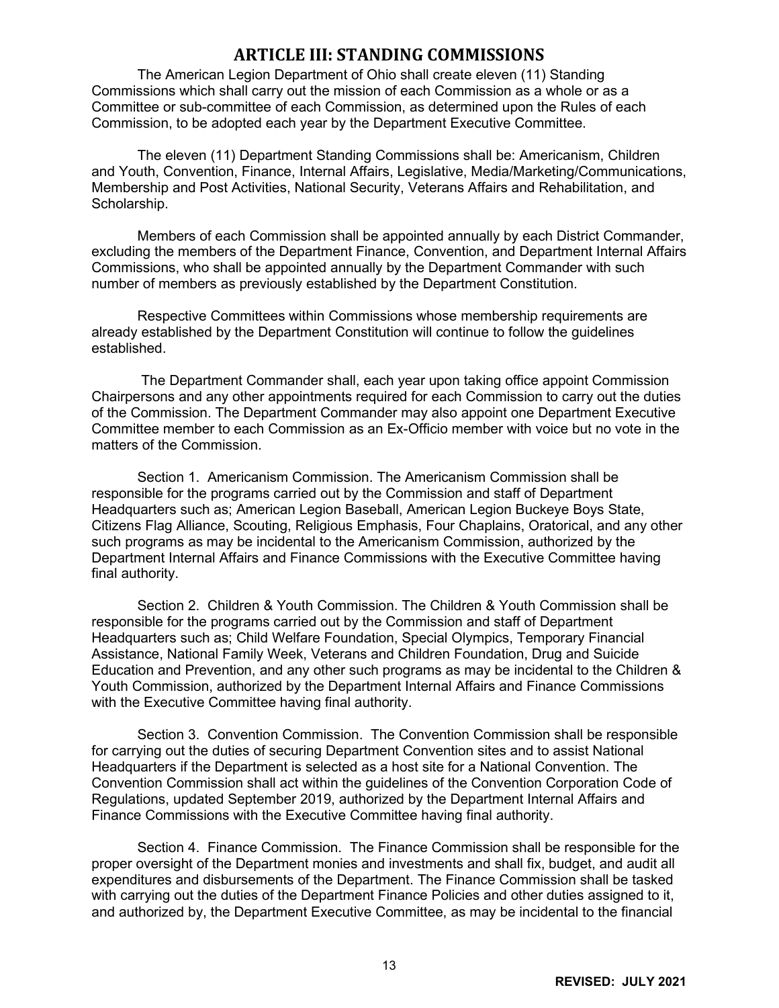# **ARTICLE III: STANDING COMMISSIONS**

<span id="page-13-0"></span>The American Legion Department of Ohio shall create eleven (11) Standing Commissions which shall carry out the mission of each Commission as a whole or as a Committee or sub-committee of each Commission, as determined upon the Rules of each Commission, to be adopted each year by the Department Executive Committee.

The eleven (11) Department Standing Commissions shall be: Americanism, Children and Youth, Convention, Finance, Internal Affairs, Legislative, Media/Marketing/Communications, Membership and Post Activities, National Security, Veterans Affairs and Rehabilitation, and Scholarship.

Members of each Commission shall be appointed annually by each District Commander, excluding the members of the Department Finance, Convention, and Department Internal Affairs Commissions, who shall be appointed annually by the Department Commander with such number of members as previously established by the Department Constitution.

Respective Committees within Commissions whose membership requirements are already established by the Department Constitution will continue to follow the guidelines established.

The Department Commander shall, each year upon taking office appoint Commission Chairpersons and any other appointments required for each Commission to carry out the duties of the Commission. The Department Commander may also appoint one Department Executive Committee member to each Commission as an Ex-Officio member with voice but no vote in the matters of the Commission.

Section 1. Americanism Commission. The Americanism Commission shall be responsible for the programs carried out by the Commission and staff of Department Headquarters such as; American Legion Baseball, American Legion Buckeye Boys State, Citizens Flag Alliance, Scouting, Religious Emphasis, Four Chaplains, Oratorical, and any other such programs as may be incidental to the Americanism Commission, authorized by the Department Internal Affairs and Finance Commissions with the Executive Committee having final authority.

Section 2. Children & Youth Commission. The Children & Youth Commission shall be responsible for the programs carried out by the Commission and staff of Department Headquarters such as; Child Welfare Foundation, Special Olympics, Temporary Financial Assistance, National Family Week, Veterans and Children Foundation, Drug and Suicide Education and Prevention, and any other such programs as may be incidental to the Children & Youth Commission, authorized by the Department Internal Affairs and Finance Commissions with the Executive Committee having final authority.

Section 3. Convention Commission. The Convention Commission shall be responsible for carrying out the duties of securing Department Convention sites and to assist National Headquarters if the Department is selected as a host site for a National Convention. The Convention Commission shall act within the guidelines of the Convention Corporation Code of Regulations, updated September 2019, authorized by the Department Internal Affairs and Finance Commissions with the Executive Committee having final authority.

Section 4. Finance Commission. The Finance Commission shall be responsible for the proper oversight of the Department monies and investments and shall fix, budget, and audit all expenditures and disbursements of the Department. The Finance Commission shall be tasked with carrying out the duties of the Department Finance Policies and other duties assigned to it, and authorized by, the Department Executive Committee, as may be incidental to the financial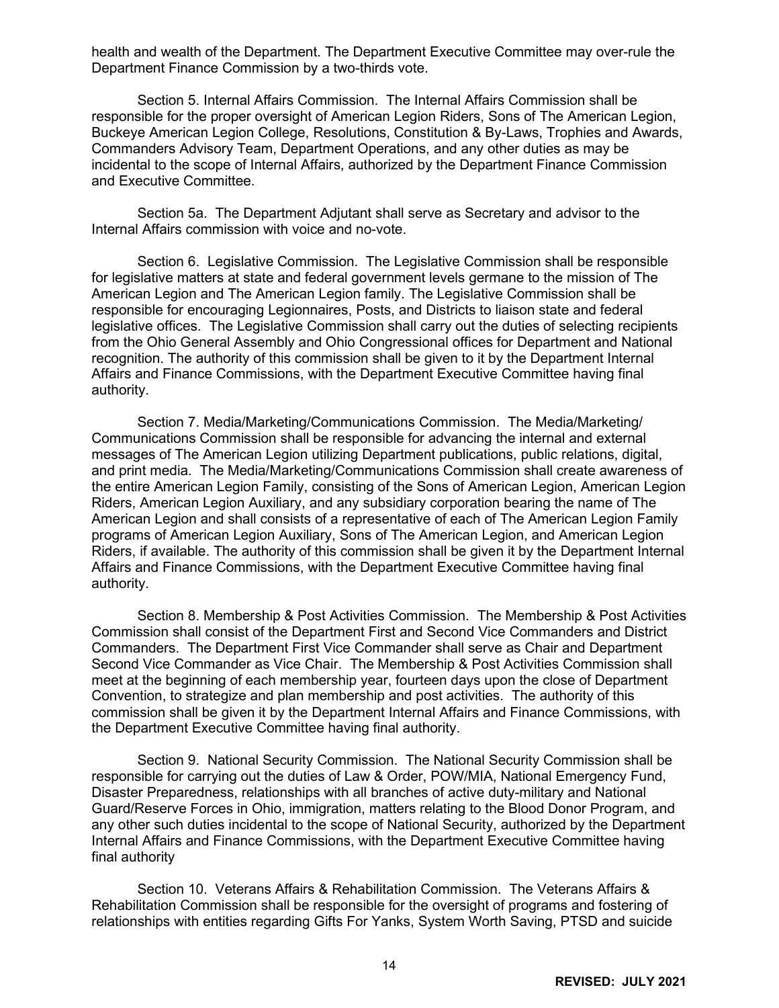health and wealth of the Department. The Department Executive Committee may over-rule the Department Finance Commission by a two-thirds vote.

Section 5. Internal Affairs Commission. The Internal Affairs Commission shall be responsible for the proper oversight of American Legion Riders, Sons of The American Legion, Buckeye American Legion College, Resolutions, Constitution & By-Laws, Trophies and Awards, Commanders Advisory Team, Department Operations, and any other duties as may be incidental to the scope of Internal Affairs, authorized by the Department Finance Commission and Executive Committee.

Section 5a. The Department Adjutant shall serve as Secretary and advisor to the Internal Affairs commission with voice and no-vote.

Section 6. Legislative Commission. The Legislative Commission shall be responsible for legislative matters at state and federal government levels germane to the mission of The American Legion and The American Legion family. The Legislative Commission shall be responsible for encouraging Legionnaires, Posts, and Districts to liaison state and federal legislative offices. The Legislative Commission shall carry out the duties of selecting recipients from the Ohio General Assembly and Ohio Congressional offices for Department and National recognition. The authority of this commission shall be given to it by the Department Internal Affairs and Finance Commissions, with the Department Executive Committee having final authority.

Section 7. Media/Marketing/Communications Commission. The Media/Marketing/ Communications Commission shall be responsible for advancing the internal and external messages of The American Legion utilizing Department publications, public relations, digital, and print media. The Media/Marketing/Communications Commission shall create awareness of the entire American Legion Family, consisting of the Sons of American Legion, American Legion Riders, American Legion Auxiliary, and any subsidiary corporation bearing the name of The American Legion and shall consists of a representative of each of The American Legion Family programs of American Legion Auxiliary, Sons of The American Legion, and American Legion Riders, if available. The authority of this commission shall be given it by the Department Internal Affairs and Finance Commissions, with the Department Executive Committee having final authority.

Section 8. Membership & Post Activities Commission. The Membership & Post Activities Commission shall consist of the Department First and Second Vice Commanders and District Commanders. The Department First Vice Commander shall serve as Chair and Department Second Vice Commander as Vice Chair. The Membership & Post Activities Commission shall meet at the beginning of each membership year, fourteen days upon the close of Department Convention, to strategize and plan membership and post activities. The authority of this commission shall be given it by the Department Internal Affairs and Finance Commissions, with the Department Executive Committee having final authority.

Section 9. National Security Commission. The National Security Commission shall be responsible for carrying out the duties of Law & Order, POW/MIA, National Emergency Fund, Disaster Preparedness, relationships with all branches of active duty-military and National Guard/Reserve Forces in Ohio, immigration, matters relating to the Blood Donor Program, and any other such duties incidental to the scope of National Security, authorized by the Department Internal Affairs and Finance Commissions, with the Department Executive Committee having final authority

Section 10. Veterans Affairs & Rehabilitation Commission. The Veterans Affairs & Rehabilitation Commission shall be responsible for the oversight of programs and fostering of relationships with entities regarding Gifts For Yanks, System Worth Saving, PTSD and suicide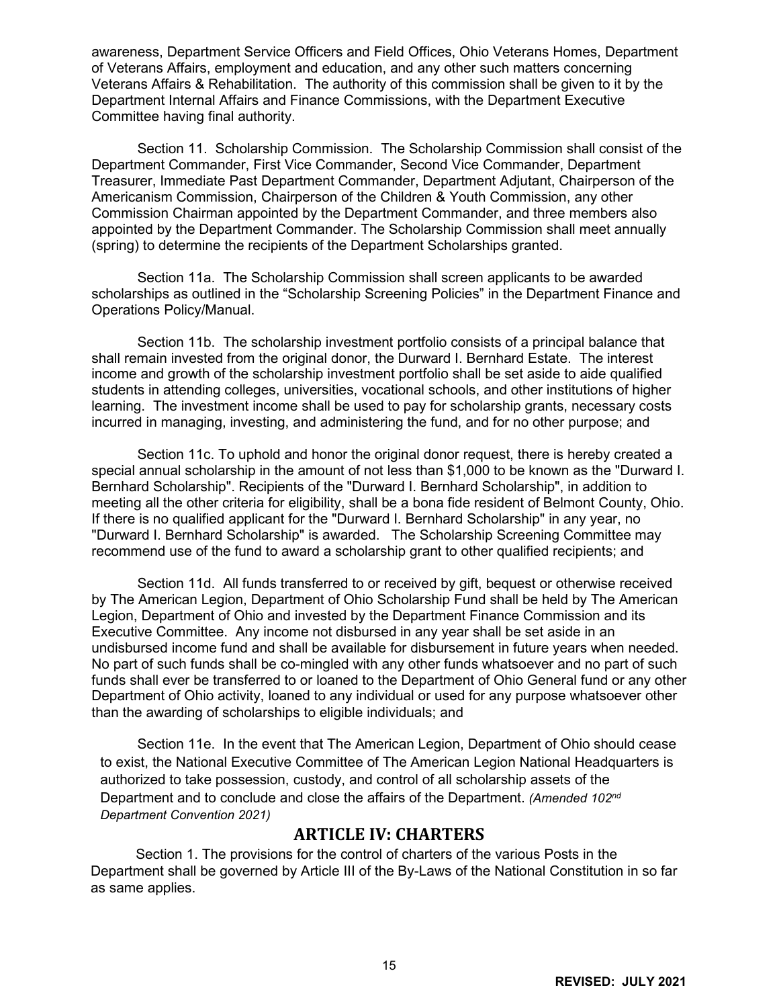awareness, Department Service Officers and Field Offices, Ohio Veterans Homes, Department of Veterans Affairs, employment and education, and any other such matters concerning Veterans Affairs & Rehabilitation. The authority of this commission shall be given to it by the Department Internal Affairs and Finance Commissions, with the Department Executive Committee having final authority.

Section 11. Scholarship Commission. The Scholarship Commission shall consist of the Department Commander, First Vice Commander, Second Vice Commander, Department Treasurer, Immediate Past Department Commander, Department Adjutant, Chairperson of the Americanism Commission, Chairperson of the Children & Youth Commission, any other Commission Chairman appointed by the Department Commander, and three members also appointed by the Department Commander. The Scholarship Commission shall meet annually (spring) to determine the recipients of the Department Scholarships granted.

Section 11a. The Scholarship Commission shall screen applicants to be awarded scholarships as outlined in the "Scholarship Screening Policies" in the Department Finance and Operations Policy/Manual.

Section 11b. The scholarship investment portfolio consists of a principal balance that shall remain invested from the original donor, the Durward I. Bernhard Estate. The interest income and growth of the scholarship investment portfolio shall be set aside to aide qualified students in attending colleges, universities, vocational schools, and other institutions of higher learning. The investment income shall be used to pay for scholarship grants, necessary costs incurred in managing, investing, and administering the fund, and for no other purpose; and

Section 11c. To uphold and honor the original donor request, there is hereby created a special annual scholarship in the amount of not less than \$1,000 to be known as the "Durward I. Bernhard Scholarship". Recipients of the "Durward I. Bernhard Scholarship", in addition to meeting all the other criteria for eligibility, shall be a bona fide resident of Belmont County, Ohio. If there is no qualified applicant for the "Durward I. Bernhard Scholarship" in any year, no "Durward I. Bernhard Scholarship" is awarded. The Scholarship Screening Committee may recommend use of the fund to award a scholarship grant to other qualified recipients; and

Section 11d. All funds transferred to or received by gift, bequest or otherwise received by The American Legion, Department of Ohio Scholarship Fund shall be held by The American Legion, Department of Ohio and invested by the Department Finance Commission and its Executive Committee. Any income not disbursed in any year shall be set aside in an undisbursed income fund and shall be available for disbursement in future years when needed. No part of such funds shall be co-mingled with any other funds whatsoever and no part of such funds shall ever be transferred to or loaned to the Department of Ohio General fund or any other Department of Ohio activity, loaned to any individual or used for any purpose whatsoever other than the awarding of scholarships to eligible individuals; and

Section 11e. In the event that The American Legion, Department of Ohio should cease to exist, the National Executive Committee of The American Legion National Headquarters is authorized to take possession, custody, and control of all scholarship assets of the Department and to conclude and close the affairs of the Department. *(Amended 102nd Department Convention 2021)*

# **ARTICLE IV: CHARTERS**

<span id="page-15-0"></span>Section 1. The provisions for the control of charters of the various Posts in the Department shall be governed by Article III of the By-Laws of the National Constitution in so far as same applies.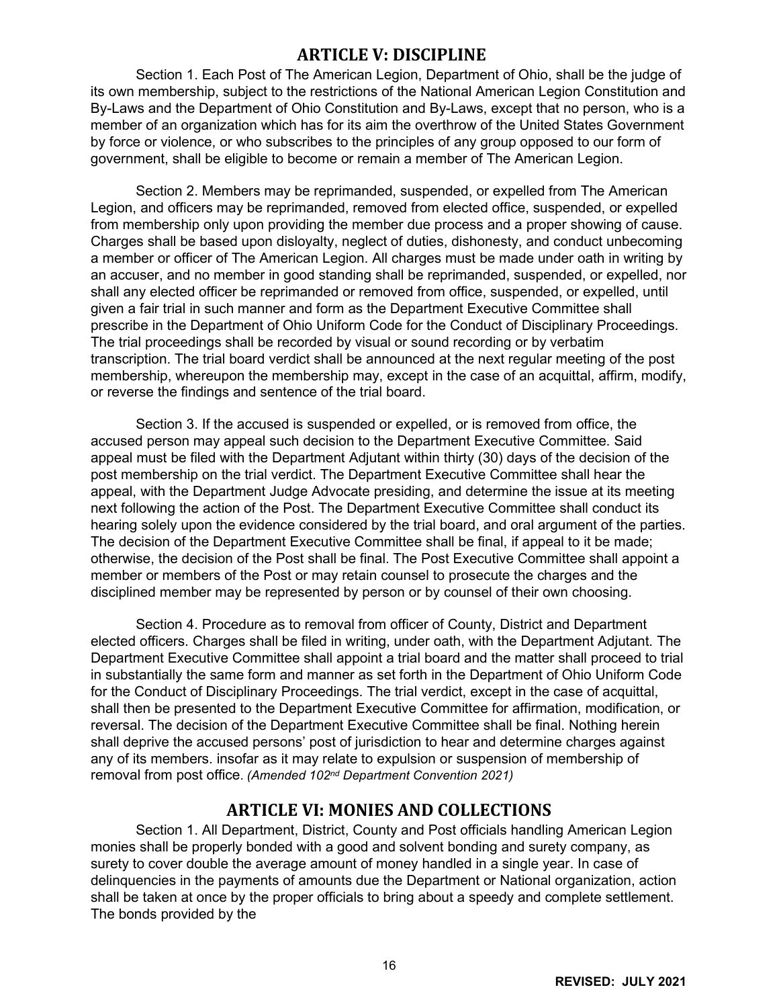### <span id="page-16-0"></span>**ARTICLE V: DISCIPLINE**

Section 1. Each Post of The American Legion, Department of Ohio, shall be the judge of its own membership, subject to the restrictions of the National American Legion Constitution and By-Laws and the Department of Ohio Constitution and By-Laws, except that no person, who is a member of an organization which has for its aim the overthrow of the United States Government by force or violence, or who subscribes to the principles of any group opposed to our form of government, shall be eligible to become or remain a member of The American Legion.

Section 2. Members may be reprimanded, suspended, or expelled from The American Legion, and officers may be reprimanded, removed from elected office, suspended, or expelled from membership only upon providing the member due process and a proper showing of cause. Charges shall be based upon disloyalty, neglect of duties, dishonesty, and conduct unbecoming a member or officer of The American Legion. All charges must be made under oath in writing by an accuser, and no member in good standing shall be reprimanded, suspended, or expelled, nor shall any elected officer be reprimanded or removed from office, suspended, or expelled, until given a fair trial in such manner and form as the Department Executive Committee shall prescribe in the Department of Ohio Uniform Code for the Conduct of Disciplinary Proceedings. The trial proceedings shall be recorded by visual or sound recording or by verbatim transcription. The trial board verdict shall be announced at the next regular meeting of the post membership, whereupon the membership may, except in the case of an acquittal, affirm, modify, or reverse the findings and sentence of the trial board.

Section 3. If the accused is suspended or expelled, or is removed from office, the accused person may appeal such decision to the Department Executive Committee. Said appeal must be filed with the Department Adjutant within thirty (30) days of the decision of the post membership on the trial verdict. The Department Executive Committee shall hear the appeal, with the Department Judge Advocate presiding, and determine the issue at its meeting next following the action of the Post. The Department Executive Committee shall conduct its hearing solely upon the evidence considered by the trial board, and oral argument of the parties. The decision of the Department Executive Committee shall be final, if appeal to it be made; otherwise, the decision of the Post shall be final. The Post Executive Committee shall appoint a member or members of the Post or may retain counsel to prosecute the charges and the disciplined member may be represented by person or by counsel of their own choosing.

Section 4. Procedure as to removal from officer of County, District and Department elected officers. Charges shall be filed in writing, under oath, with the Department Adjutant. The Department Executive Committee shall appoint a trial board and the matter shall proceed to trial in substantially the same form and manner as set forth in the Department of Ohio Uniform Code for the Conduct of Disciplinary Proceedings. The trial verdict, except in the case of acquittal, shall then be presented to the Department Executive Committee for affirmation, modification, or reversal. The decision of the Department Executive Committee shall be final. Nothing herein shall deprive the accused persons' post of jurisdiction to hear and determine charges against any of its members. insofar as it may relate to expulsion or suspension of membership of removal from post office. *(Amended 102nd Department Convention 2021)*

#### **ARTICLE VI: MONIES AND COLLECTIONS**

<span id="page-16-1"></span>Section 1. All Department, District, County and Post officials handling American Legion monies shall be properly bonded with a good and solvent bonding and surety company, as surety to cover double the average amount of money handled in a single year. In case of delinquencies in the payments of amounts due the Department or National organization, action shall be taken at once by the proper officials to bring about a speedy and complete settlement. The bonds provided by the